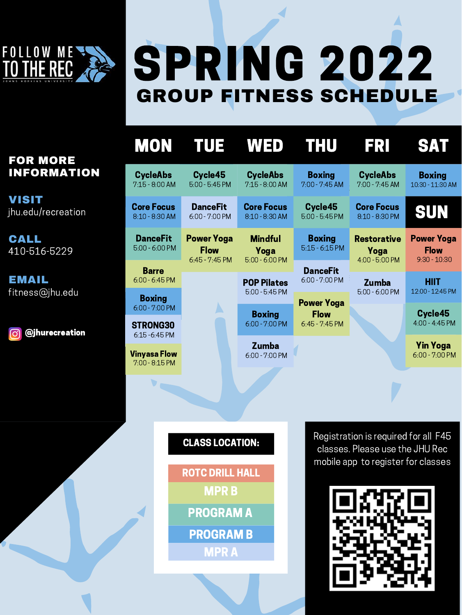Registration is required for all F45 classes. Please use the JHU Rec mobile app to register for classes



STRONG30 6:15 -6:45 PM

| <b>CycleAbs</b><br>$7:15 - 8:00$ AM | Cycle45<br>$5:00 - 5:45$ PM       | <b>CycleAbs</b><br>$7:15 - 8:00$ AM    | <b>Boxing</b><br>$7:00 - 7:45 AM$ | <b>CycleAbs</b><br>$7:00 - 7:45$ AM | <b>Boxing</b><br>10:30 - 11:30 AM                  |
|-------------------------------------|-----------------------------------|----------------------------------------|-----------------------------------|-------------------------------------|----------------------------------------------------|
| <b>Core Focus</b><br>8:10 - 8:30 AM | <b>DanceFit</b><br>6:00 - 7:00 PM | <b>Core Focus</b><br>8:10 - 8:30 AM    | Cycle45<br>$5:00 - 5:45$ PM       | <b>Core Focus</b><br>8:10 - 8:30 PM | SUN                                                |
| <b>DanceFit</b><br>$5:00 - 6:00$ PM | <b>Power Yoga</b><br><b>Flow</b>  | <b>Mindful</b><br>Yoga                 | <b>Boxing</b><br>$5:15 - 6:15$ PM | <b>Restorative</b><br>Yoga          | <b>Power Yoga</b><br><b>Flow</b><br>$9:30 - 10:30$ |
| <b>Barre</b>                        | $6:45 - 7:45$ PM                  | $5:00 - 6:00$ PM                       | <b>DanceFit</b>                   | 4:00 - 5:00 PM                      |                                                    |
| $6:00 - 6:45$ PM                    |                                   | <b>POP Pilates</b><br>$5:00 - 5:45$ PM | $6:00 - 7:00$ PM                  | <b>Zumba</b><br>$5:00 - 6:00$ PM    | <b>HIIT</b><br>12:00 - 12:45 PM                    |

7:00 - 8:15 PM Vinyasa Flow

| $6:00 - 7:00$ PM                 | $6:45 - 7:45$ PM |  |
|----------------------------------|------------------|--|
| <b>Zumba</b><br>$6:00 - 7:00$ PM |                  |  |

4:00 - 4:45 PM

6:00 - 7:00 PM Yin Yoga

#### CLASS LOCATION:

ROTC DRILL HALL MPR B

PROGRAM A

PROGRAM B

MPR A

MON TUE WED THU FRI SAT



## SPRING 2022 GROUP FITNESS SCHEDULE

### FOR MORE INFORMATION

VISIT jhu.edu/recreation

EMAIL fitness[@jhu.edu](mailto:recreation@jhu.edu)

CALL 410-516-5229